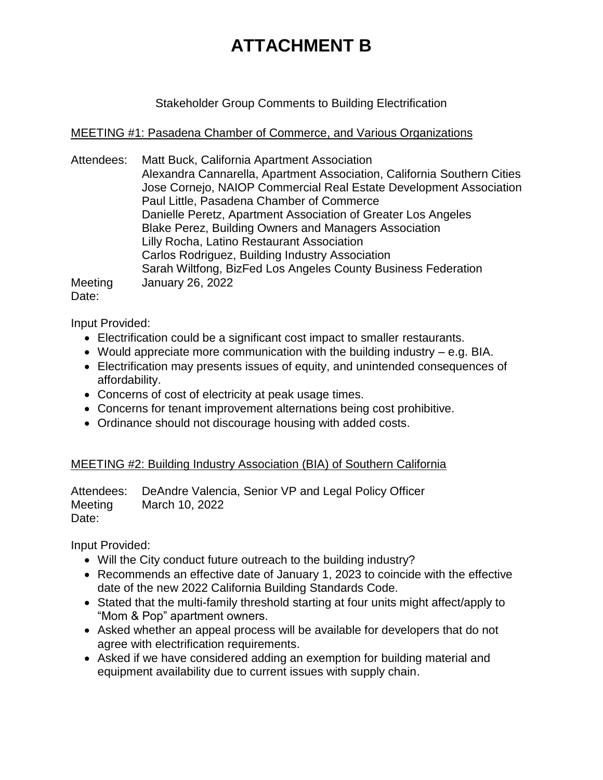# **ATTACHMENT B**

Stakeholder Group Comments to Building Electrification

#### MEETING #1: Pasadena Chamber of Commerce, and Various Organizations

Attendees: Matt Buck, California Apartment Association Alexandra Cannarella, Apartment Association, California Southern Cities Jose Cornejo, NAIOP Commercial Real Estate Development Association Paul Little, Pasadena Chamber of Commerce Danielle Peretz, Apartment Association of Greater Los Angeles Blake Perez, Building Owners and Managers Association Lilly Rocha, Latino Restaurant Association Carlos Rodriguez, Building Industry Association Sarah Wiltfong, BizFed Los Angeles County Business Federation Meeting January 26, 2022 Date:

Input Provided:

- Electrification could be a significant cost impact to smaller restaurants.
- Would appreciate more communication with the building industry e.g. BIA.
- Electrification may presents issues of equity, and unintended consequences of affordability.
- Concerns of cost of electricity at peak usage times.
- Concerns for tenant improvement alternations being cost prohibitive.
- Ordinance should not discourage housing with added costs.

## MEETING #2: Building Industry Association (BIA) of Southern California

Attendees: DeAndre Valencia, Senior VP and Legal Policy Officer Meeting March 10, 2022 Date:

Input Provided:

- Will the City conduct future outreach to the building industry?
- Recommends an effective date of January 1, 2023 to coincide with the effective date of the new 2022 California Building Standards Code.
- Stated that the multi-family threshold starting at four units might affect/apply to "Mom & Pop" apartment owners.
- Asked whether an appeal process will be available for developers that do not agree with electrification requirements.
- Asked if we have considered adding an exemption for building material and equipment availability due to current issues with supply chain.